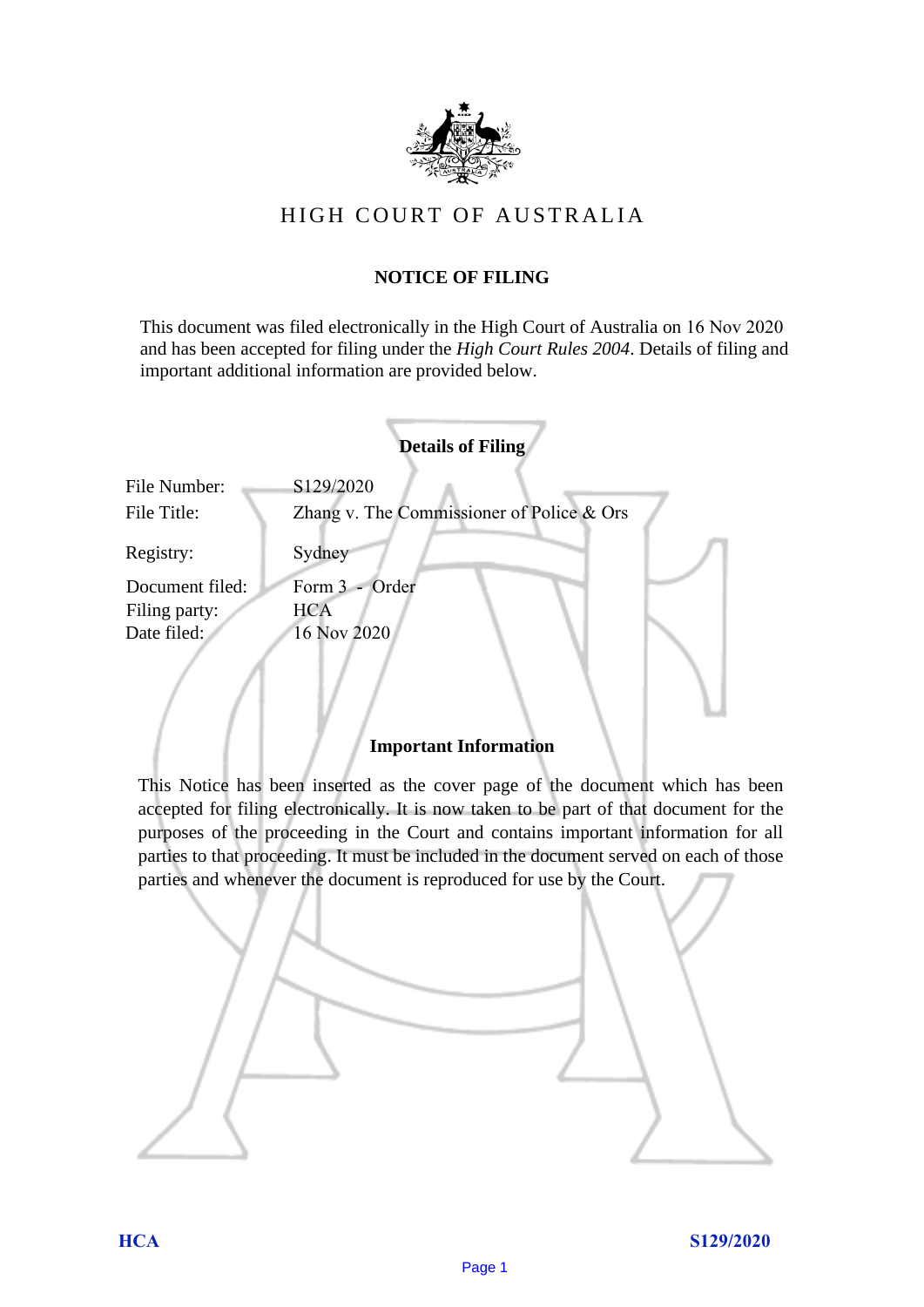

# HIGH COURT OF AU STRALIA HIGH COURT OF AUSTRALIA

## **NOTICE OF FILING** NOTICE OF FILING

This document was filed electronically in the High Court of Australia on 16 Nov 2020 This document was filed electronically in the High Court of Australia 20 and has been accepted for filing under the *High Court Rules 2004*. Details of filing and important additional information are provided below. important additional information are provided below.

|                             | <b>Details of Filing</b>                                 |
|-----------------------------|----------------------------------------------------------|
| File Number:<br>File Title: | S129/2020<br>Zhang v. The Commissioner of Police $&$ Ors |
| Registry:                   | Sydney                                                   |
| Document filed:             | Form 3 - Order                                           |
| Filing party:               | <b>HCA</b>                                               |
| Date filed:                 | 16 Nov 2020                                              |
|                             |                                                          |

## **Important Information** Important Information

This Notice has been inserted as the cover page of the document which has been accepted for filing electronically. It is now taken to be part of that document for the purposes of the proceeding in the Court and contains important information for all parties to that proceeding. It must be included in the document served on each of those parties and whenever the document is reproduced for use by the Court. parties and whenever the document is reproduced for use by the Court

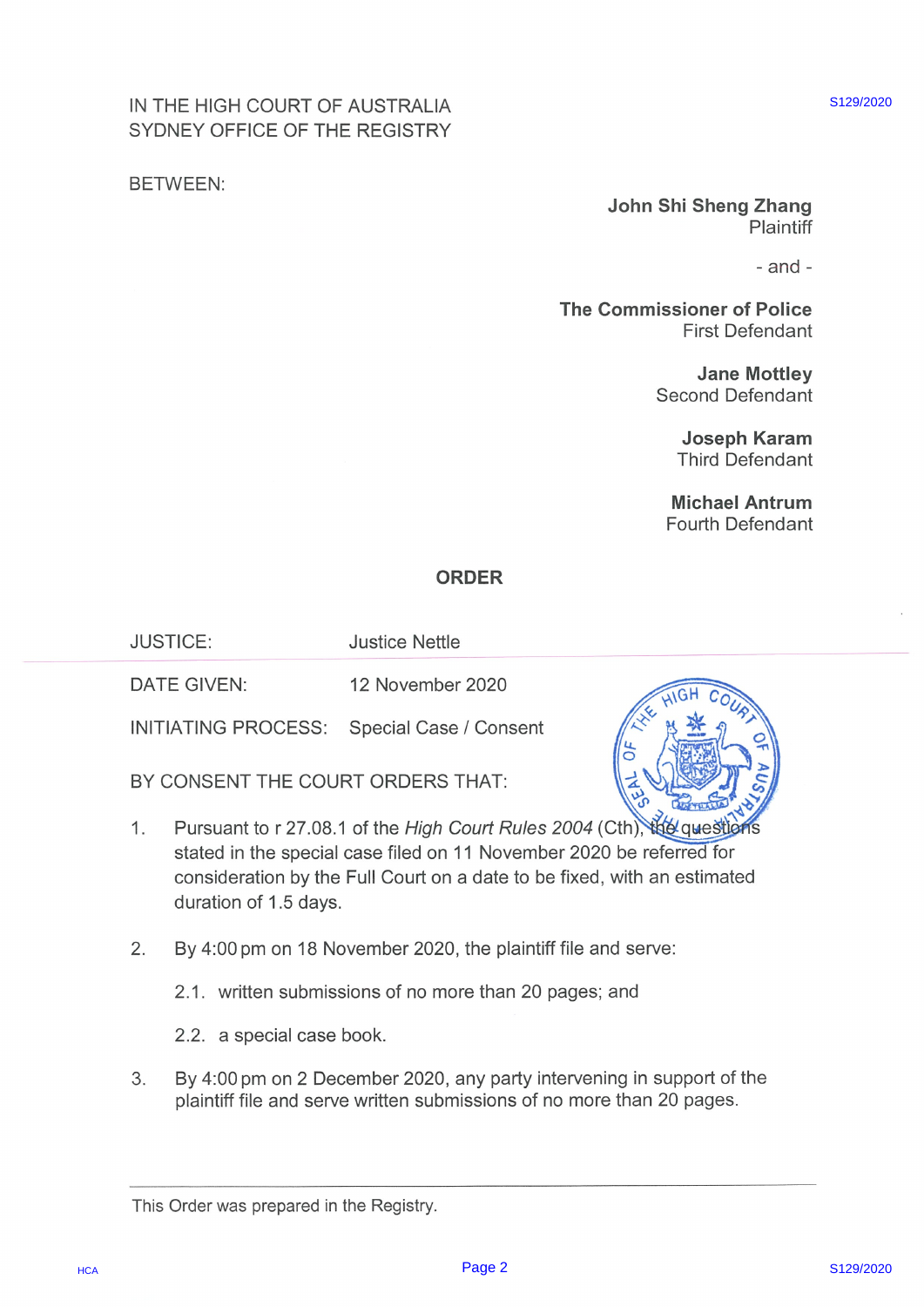## IN THE HIGH COURT OF AUSTRALIA SYDNEY OFFICE OF THE REGISTRY

## BETWEEN:

### John Shi Sheng Zhang Plaintiff

- and -

\$129/2020

The Commissioner of Police First Defendant

> Jane Mottley Second Defendant

> > Joseph Karam Third Defendant

Michael Antrum Fourth Defendant

### ORDER

JUSTICE: Justice Nettle

DATE GIVEN: 12 November 2020

INITIATING PROCESS: Special Case / Consent

BY CONSENT THE COURT ORDERS THAT:



- IN THE HIGH COURT OF AUSTRALIA<br>
SYDNEY OFFICE OF THE REGISTRY<br>
SETWEEN:<br>
BETWEEN:<br>
BETWEEN:<br>
BETWEEN:<br>
SETWEEN:<br>
DORD FICE THE REGISTRY<br>
John Shi Sheng Zhang<br>
Plannet<br>
The Commissioner of Police<br>
Second Defendant<br>
Michael 1. Pursuant to r 27.08.1 of the High Court Rules 2004 (Cth). the questions stated in the special case filed on 11 November 2020 be referred for consideration by the Full Court on a date to be fixed, with an estimated duration of 1.5 days.
	- 2. By 4:00 pm on 18 November 2020, the plaintiff file and serve:
		- 2.1. written submissions of no more than 20 pages; and
		- 2.2. aspecial case book.
	- 3. By 4:00pm on 2 December 2020, any party intervening in support of the plaintiff file and serve written submissions of no more than 20 pages.

This Order was prepared in the Registry.